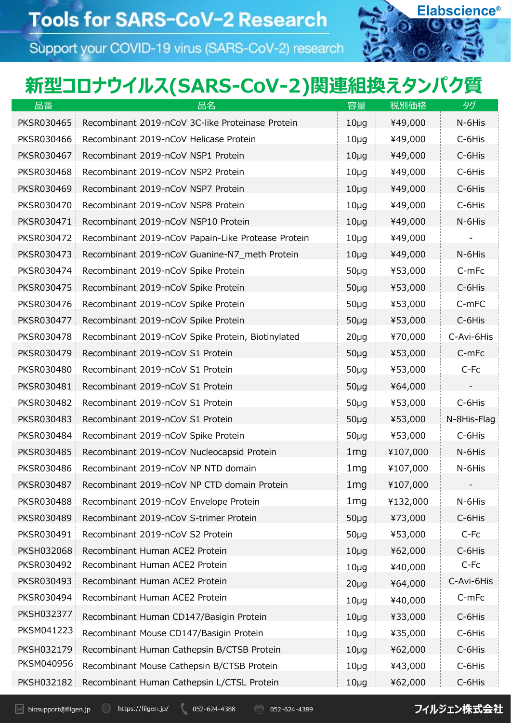Support your COVID-19 virus (SARS-CoV-2) research



## 新型コロナウイルス(SARS-CoV-2)関連組換えタンパク質

| 品番                | 品名                                                 | 容量              | 税別価格     | タグ          |
|-------------------|----------------------------------------------------|-----------------|----------|-------------|
| <b>PKSR030465</b> | Recombinant 2019-nCoV 3C-like Proteinase Protein   | $10\mug$        | ¥49,000  | N-6His      |
| <b>PKSR030466</b> | Recombinant 2019-nCoV Helicase Protein             | $10\mug$        | ¥49,000  | C-6His      |
| PKSR030467        | Recombinant 2019-nCoV NSP1 Protein                 | $10\mug$        | ¥49,000  | C-6His      |
| <b>PKSR030468</b> | Recombinant 2019-nCoV NSP2 Protein                 | $10\mug$        | ¥49,000  | C-6His      |
| <b>PKSR030469</b> | Recombinant 2019-nCoV NSP7 Protein                 | $10\mug$        | ¥49,000  | C-6His      |
| PKSR030470        | Recombinant 2019-nCoV NSP8 Protein                 | $10\mug$        | ¥49,000  | C-6His      |
| PKSR030471        | Recombinant 2019-nCoV NSP10 Protein                | $10\mug$        | ¥49,000  | N-6His      |
| PKSR030472        | Recombinant 2019-nCoV Papain-Like Protease Protein | $10\mug$        | ¥49,000  |             |
| PKSR030473        | Recombinant 2019-nCoV Guanine-N7_meth Protein      | $10\mug$        | ¥49,000  | N-6His      |
| PKSR030474        | Recombinant 2019-nCoV Spike Protein                | $50\mug$        | ¥53,000  | C-mFc       |
| <b>PKSR030475</b> | Recombinant 2019-nCoV Spike Protein                | $50\mug$        | ¥53,000  | C-6His      |
| PKSR030476        | Recombinant 2019-nCoV Spike Protein                | $50\mug$        | ¥53,000  | C-mFC       |
| PKSR030477        | Recombinant 2019-nCoV Spike Protein                | $50\mug$        | ¥53,000  | C-6His      |
| <b>PKSR030478</b> | Recombinant 2019-nCoV Spike Protein, Biotinylated  | $20\mug$        | ¥70,000  | C-Avi-6His  |
| PKSR030479        | Recombinant 2019-nCoV S1 Protein                   | $50\mug$        | ¥53,000  | C-mFc       |
| <b>PKSR030480</b> | Recombinant 2019-nCoV S1 Protein                   | $50\mug$        | ¥53,000  | C-Fc        |
| PKSR030481        | Recombinant 2019-nCoV S1 Protein                   | $50\mug$        | ¥64,000  |             |
| PKSR030482        | Recombinant 2019-nCoV S1 Protein                   | $50\mug$        | ¥53,000  | C-6His      |
| PKSR030483        | Recombinant 2019-nCoV S1 Protein                   | $50\mug$        | ¥53,000  | N-8His-Flag |
| PKSR030484        | Recombinant 2019-nCoV Spike Protein                | $50\mug$        | ¥53,000  | C-6His      |
| <b>PKSR030485</b> | Recombinant 2019-nCoV Nucleocapsid Protein         | 1 <sub>mg</sub> | ¥107,000 | N-6His      |
| PKSR030486        | Recombinant 2019-nCoV NP NTD domain                | 1 <sub>mg</sub> | ¥107,000 | N-6His      |
| PKSR030487        | Recombinant 2019-nCoV NP CTD domain Protein        | 1 <sub>mg</sub> | ¥107,000 |             |
| <b>PKSR030488</b> | Recombinant 2019-nCoV Envelope Protein             | 1 <sub>mg</sub> | ¥132,000 | N-6His      |
| PKSR030489        | Recombinant 2019-nCoV S-trimer Protein             | $50\mug$        | ¥73,000  | C-6His      |
| PKSR030491        | Recombinant 2019-nCoV S2 Protein                   | $50\mug$        | ¥53,000  | C-Fc        |
| PKSH032068        | Recombinant Human ACE2 Protein                     | $10\mug$        | ¥62,000  | C-6His      |
| PKSR030492        | Recombinant Human ACE2 Protein                     | $10\mug$        | ¥40,000  | C-Fc        |
| PKSR030493        | Recombinant Human ACE2 Protein                     | $20\mug$        | ¥64,000  | C-Avi-6His  |
| PKSR030494        | Recombinant Human ACE2 Protein                     | $10\mug$        | ¥40,000  | C-mFc       |
| PKSH032377        | Recombinant Human CD147/Basigin Protein            | $10\mug$        | ¥33,000  | C-6His      |
| PKSM041223        | Recombinant Mouse CD147/Basigin Protein            | $10\mug$        | ¥35,000  | C-6His      |
| PKSH032179        | Recombinant Human Cathepsin B/CTSB Protein         | $10\mug$        | ¥62,000  | C-6His      |
| PKSM040956        | Recombinant Mouse Cathepsin B/CTSB Protein         | $10\mug$        | ¥43,000  | C-6His      |
| PKSH032182        | Recombinant Human Cathepsin L/CTSL Protein         | $10\mug$        | ¥62,000  | C-6His      |